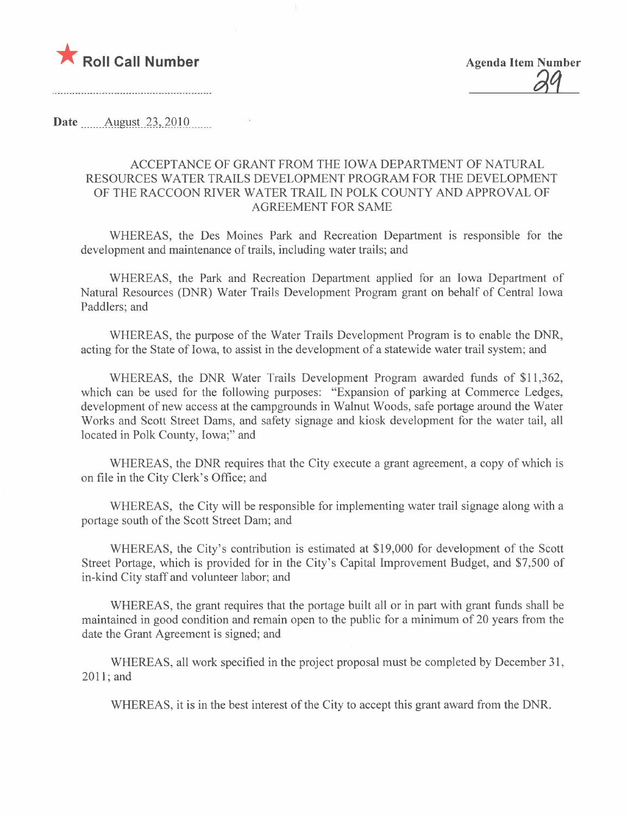

aq

Date \_\_\_\_\_\_Allgm~L2~,)Q\_lQ\_\_..\_\_\_\_

# ACCEPTANCE OF GRANT FROM THE IOWA DEPARTMENT OF NATURAL RESOURCES WATER TRAILS DEVELOPMENT PROGRAM FOR THE DEVELOPMENT OF THE RACCOON RIVER WATER TRAIL IN POLK COUNTY AND APPROVAL OF AGREEMENT FOR SAME

WHEREAS, the Des Moines Park and Recreation Department is responsible for the development and maintenance of trails, including water trails; and

WHEREAS, the Park and Recreation Department applied for an Iowa Department of Natural Resources (DNR) Water Trails Development Program grant on behalf of Central Iowa Paddlers; and

WHEREAS, the purpose of the Water Trails Development Program is to enable the DNR, acting for the State of Iowa, to assist in the development of a statewide water trail system; and

WHEREAS, the DNR Water Trails Development Program awarded funds of \$11,362, which can be used for the following purposes: "Expansion of parking at Commerce Ledges, development of new access at the campgrounds in Walnut Woods, safe portage around the Water Works and Scott Street Dams, and safety signage and kiosk development for the water tail, all located in Polk County, Iowa;" and

WHEREAS, the DNR requires that the City execute a grant agreement, a copy of which is on file in the City Clerk's Office; and

WHEREAS, the City will be responsible for implementing water trail signage along with a portage south of the Scott Street Dam; and

WHEREAS, the City's contribution is estimated at \$19,000 for development of the Scott Street Portage, which is provided for in the City's Capital Improvement Budget, and \$7,500 of in-kind City staff and volunteer labor; and

WHEREAS, the grant requires that the portage built all or in part with grant funds shall be maintained in good condition and remain open to the public for a minimum of 20 years from the date the Grant Agreement is signed; and

WHEREAS, all work specified in the project proposal must be completed by December 31, 2011; and

WHEREAS, it is in the best interest of the City to accept this grant award from the DNR.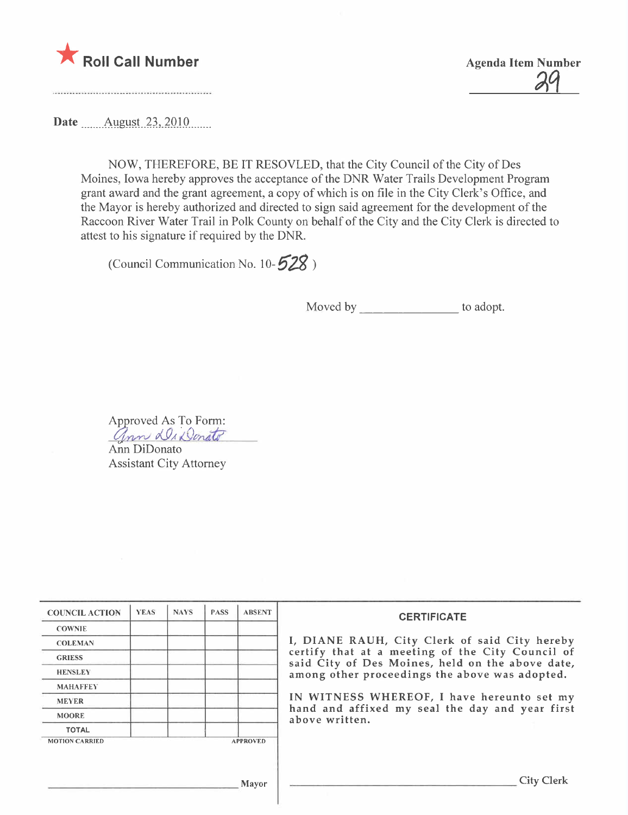

 $\frac{24}{3}$ 

Date \_\_\_\_\_\_ August 23, 2010

NOW, THEREFORE, BE IT RESOVLED, that the City Council of the City of Des Moines, Iowa hereby approves the acceptance of the DNR Water Trails Development Program grant award and the grant agreement, a copy of which is on file in the City Clerk's Office, and the Mayor is hereby authorized and directed to sign said agreement for the development of the Raccoon River Water Trail in Polk County on behalf of the City and the City Clerk is directed to attest to his signature if required by the DNR.

(Council Communication No. 10- $528$ )

Moved by \_\_\_\_\_\_\_\_\_\_\_\_\_\_ to adopt.

Approved As To Form:

nn au Donald Ann DiDonato Assistant City Attorney

| <b>COUNCIL ACTION</b> | <b>YEAS</b> | <b>NAYS</b> | <b>PASS</b> | <b>ABSENT</b>   | <b>CERTIFICATE</b><br>I, DIANE RAUH, City Clerk of said City hereby<br>certify that at a meeting of the City Council of<br>said City of Des Moines, held on the above date,<br>among other proceedings the above was adopted.<br>IN WITNESS WHEREOF, I have hereunto set my<br>hand and affixed my seal the day and year first<br>above written. |
|-----------------------|-------------|-------------|-------------|-----------------|--------------------------------------------------------------------------------------------------------------------------------------------------------------------------------------------------------------------------------------------------------------------------------------------------------------------------------------------------|
| <b>COWNIE</b>         |             |             |             |                 |                                                                                                                                                                                                                                                                                                                                                  |
| <b>COLEMAN</b>        |             |             |             |                 |                                                                                                                                                                                                                                                                                                                                                  |
| <b>GRIESS</b>         |             |             |             |                 |                                                                                                                                                                                                                                                                                                                                                  |
| <b>HENSLEY</b>        |             |             |             |                 |                                                                                                                                                                                                                                                                                                                                                  |
| <b>MAHAFFEY</b>       |             |             |             |                 |                                                                                                                                                                                                                                                                                                                                                  |
| <b>MEYER</b>          |             |             |             |                 |                                                                                                                                                                                                                                                                                                                                                  |
| <b>MOORE</b>          |             |             |             |                 |                                                                                                                                                                                                                                                                                                                                                  |
| <b>TOTAL</b>          |             |             |             |                 |                                                                                                                                                                                                                                                                                                                                                  |
| <b>MOTION CARRIED</b> |             |             |             | <b>APPROVED</b> |                                                                                                                                                                                                                                                                                                                                                  |
|                       |             |             |             |                 |                                                                                                                                                                                                                                                                                                                                                  |
|                       |             |             |             |                 |                                                                                                                                                                                                                                                                                                                                                  |
| Mayor                 |             |             |             |                 | <b>City Clerk</b>                                                                                                                                                                                                                                                                                                                                |
|                       |             |             |             |                 |                                                                                                                                                                                                                                                                                                                                                  |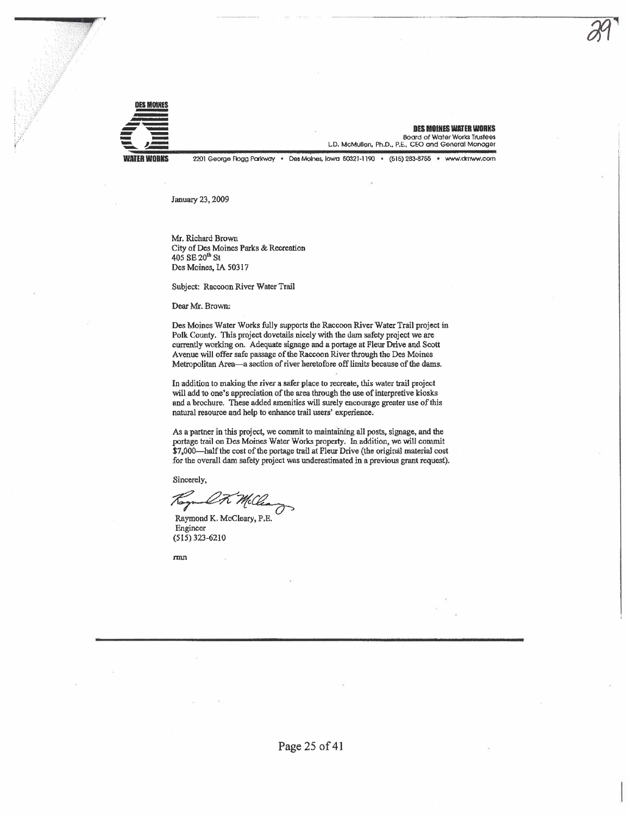

**DES MOINES WATER WORKS Board of Water Works Trustees** L.D. McMullen, Ph.D., P.E., CEO and General Manager

2201 George Flogg Parkway . Des Moines, Iowa 50321-1190 . (515) 283-8755 . www.dr.nww.com

January 23, 2009

Mr. Richard Brown City of Des Moines Parks & Recreation 405 SE 20<sup>th</sup> St Des Moines, IA 50317

Subject: Raccoon River Water Trail

Dear Mr. Brown:

Des Moines Water Works fully supports the Raccoon River Water Trail project in Polk County. This project dovetails nicely with the dam safety project we are currently working on. Adequate signage and a portage at Fleur Drive and Scott Avenue will offer safe passage of the Raccoon River through the Des Moines Metropolitan Area-a section of river heretofore off limits because of the dams.

In addition to making the river a safer place to recreate, this water trail project will add to one's appreciation of the area through the use of interpretive kiosks and a brochure. These added amenities will surely encourage greater use of this natural resource and help to enhance trail users' experience.

As a partner in this project, we commit to maintaining all posts, signage, and the portage trail on Des Moines Water Works property. In addition, we will commit \$7,000-half the cost of the portage trail at Fleur Drive (the original material cost for the overall dam safety project was underestimated in a previous grant request).

Sincerely,

Ł.

Raymond K. McCleary, P.E. Engineer  $(515)$  323-6210

 $rm<sub>n</sub>$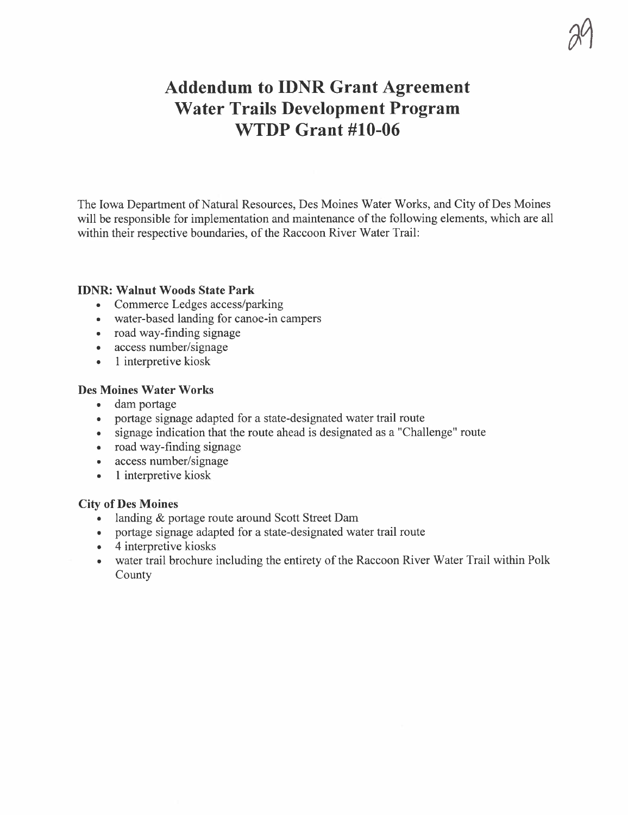# Addendum to IDNR Grant Agreement Water Trails Development Program WTDP Grant #10-06

 $\mathbb{C}^{\mathsf{v}}$ 

The Iowa Department of Natural Resources, Des Moines Water Works, and City of Des Moines will be responsible for implementation and maintenance of the following elements, which are all within their respective boundaries, of the Raccoon River Water Trail:

#### IDNR: Walnut Woods State Park

- . Commerce Ledges access/parking
- . water-based landing for canoe-in campers
- . road way-finding signage
- . access number/signage
- 1 interpretive kiosk

## Des Moines Water Works

- . dam portage
- . portage signage adapted for a state-designated water trail route
- . signage indication that the route ahead is designated as a "Challenge" route
- . road way-finding signage
- . access number/signage
- 1 interpretive kiosk

## City of Des Moines

- . landing & portage route around Scott Street Dam
- . portage signage adapted for a state-designated water trail route
- 4 interpretive kiosks
- . water trail brochure including the entirety of the Raccoon River Water Trail within Polk County